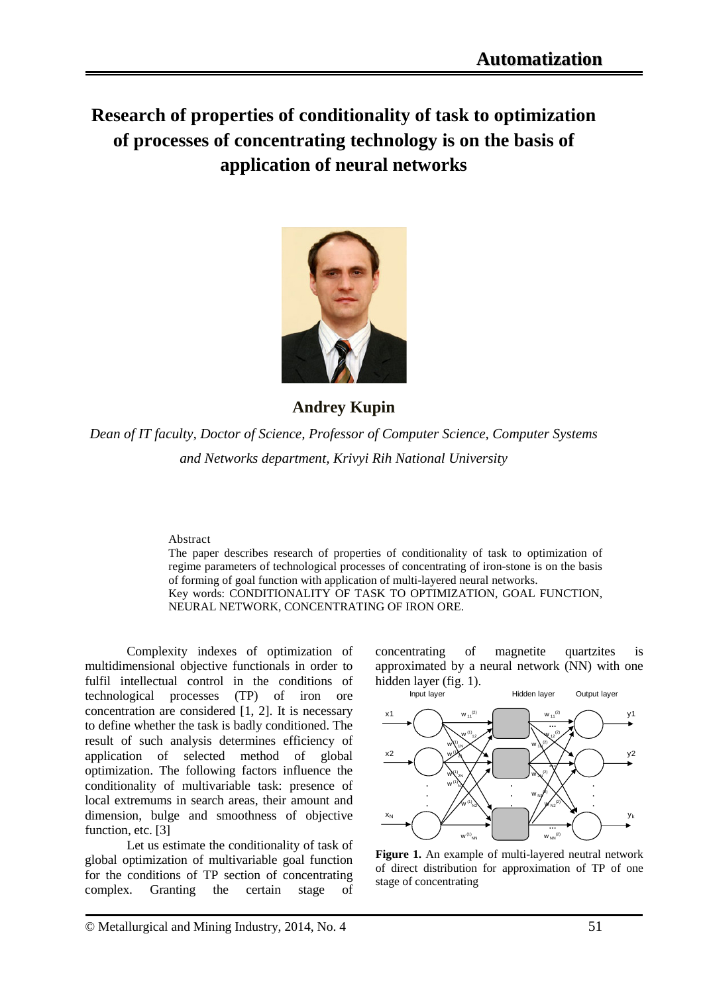**Research of properties of conditionality of task to optimization of processes of concentrating technology is on the basis of application of neural networks**



**Andrey Kupin**

*Dean of IT faculty, Doctor of Science, Professor of Computer Science, Computer Systems and Networks department, Krivyi Rih National University*

## Abstract

The paper describes research of properties of conditionality of task to optimization of regime parameters of technological processes of concentrating of iron-stone is on the basis of forming of goal function with application of multi-layered neural networks. Key words: CONDITIONALITY OF TASK TO OPTIMIZATION, GOAL FUNCTION, NEURAL NETWORK, CONCENTRATING OF IRON ORE.

Complexity indexes of optimization of multidimensional objective functionals in order to fulfil intellectual control in the conditions of technological processes (TP) of iron ore concentration are considered [1, 2]. It is necessary to define whether the task is badly conditioned. The result of such analysis determines efficiency of application of selected method of global optimization. The following factors influence the conditionality of multivariable task: presence of local extremums in search areas, their amount and dimension, bulge and smoothness of objective function, etc. [3]

Let us estimate the conditionality of task of global optimization of multivariable goal function for the conditions of TP section of concentrating complex. Granting the certain stage of concentrating of magnetite quartzites is approximated by a neural network (NN) with one hidden layer (fig. 1).



**Figure 1.** An example of multi-layered neutral network of direct distribution for approximation of TP of one stage of concentrating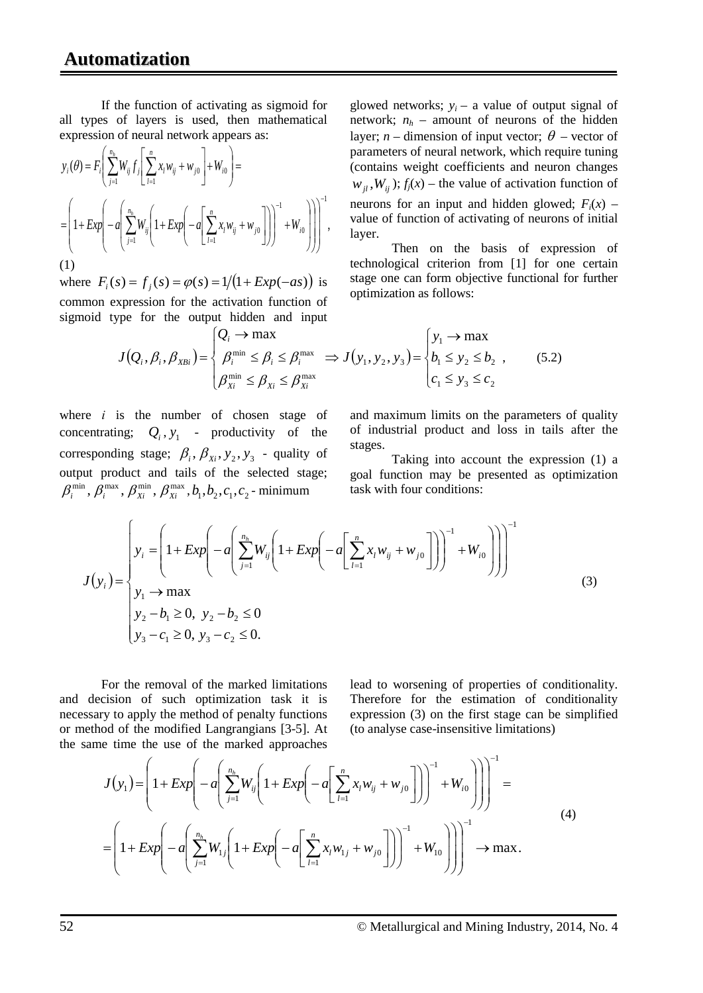If the function of activating as sigmoid for all types of layers is used, then mathematical expression of neural network appears as:

$$
y_i(\theta) = F_i \left( \sum_{j=1}^{n_h} W_{ij} f_j \left[ \sum_{l=1}^n x_l w_{ij} + w_{j0} \right] + W_{i0} \right) =
$$
  
= 
$$
\left( 1 + Exp \left( -a \left( \sum_{j=1}^{n_h} W_{ij} \left( 1 + Exp \left( -a \left[ \sum_{l=1}^n x_l w_{ij} + w_{j0} \right] \right) \right) \right)^{-1} + W_{i0} \right) \right) \right)^{-1},
$$
  
(1)

where  $F_i(s) = f_i(s) = \varphi(s) = 1/(1 + Exp(-as))$  is common expression for the activation function of sigmoid type for the output hidden and input

glowed networks;  $y_i$  – a value of output signal of network;  $n_h$  – amount of neurons of the hidden layer; *n* – dimension of input vector;  $\theta$  – vector of parameters of neural network, which require tuning (contains weight coefficients and neuron changes  $w_{ii}$ ,  $W_{ii}$ );  $f_j(x)$  – the value of activation function of neurons for an input and hidden glowed;  $F_i(x)$  – value of function of activating of neurons of initial layer.

Then on the basis of expression of technological criterion from [1] for one certain stage one can form objective functional for further optimization as follows:

$$
J(Q_i, \beta_i, \beta_{XBi}) = \begin{cases} Q_i \to \max \\ \beta_i^{\min} \leq \beta_i \leq \beta_i^{\max} \implies J(y_1, y_2, y_3) = \begin{cases} y_1 \to \max \\ b_1 \leq y_2 \leq b_2 \\ c_1 \leq y_3 \leq c_2 \end{cases} \end{cases}
$$
(5.2)

where *і* is the number of chosen stage of concentrating;  $Q_i$ ,  $y_1$  - productivity of the corresponding stage;  $\beta_i$ ,  $\beta_{xi}$ ,  $y_2$ ,  $y_3$  - quality of output product and tails of the selected stage;  $\beta_i^{\min}$ ,  $\beta_i^{\max}$ ,  $\beta_{Xi}^{\min}$ ,  $\beta_{Xi}^{\max}$ ,  $b_1$ ,  $b_2$ ,  $c_1$ ,  $c_2$ -minimum

and maximum limits on the parameters of quality of industrial product and loss in tails after the stages.

Taking into account the expression (1) a goal function may be presented as optimization task with four conditions:

$$
J(y_i) = \begin{cases} y_i = \left(1 + Exp\left(-a\left(\sum_{j=1}^{n_h} W_{ij}\left(1 + Exp\left(-a\left(\sum_{l=1}^n x_l w_{ij} + w_{j0}\right)\right)\right)^{-1} + W_{i0}\right)\right)\right)^{-1} \\ y_1 \to \max \\ y_2 - b_1 \ge 0, \ y_2 - b_2 \le 0 \\ y_3 - c_1 \ge 0, \ y_3 - c_2 \le 0. \end{cases}
$$
(3)

For the removal of the marked limitations and decision of such optimization task it is necessary to apply the method of penalty functions or method of the modified Langrangians [3-5]. At the same time the use of the marked approaches lead to worsening of properties of conditionality. Therefore for the estimation of conditionality expression (3) on the first stage can be simplified (to analyse case-insensitive limitations)

$$
J(y_1) = \left(1 + Exp\left(-a\left(\sum_{j=1}^{n_h} W_{ij}\left(1 + Exp\left(-a\left[\sum_{l=1}^n x_l w_{ij} + w_{j0}\right]\right)\right)^{-1} + W_{i0}\right)\right)\right)^{-1} =
$$
  
= 
$$
\left(1 + Exp\left(-a\left(\sum_{j=1}^{n_h} W_{1j}\left(1 + Exp\left(-a\left[\sum_{l=1}^n x_l w_{1j} + w_{j0}\right]\right)\right)^{-1} + W_{i0}\right)\right)\right)^{-1} \to \max.
$$
 (4)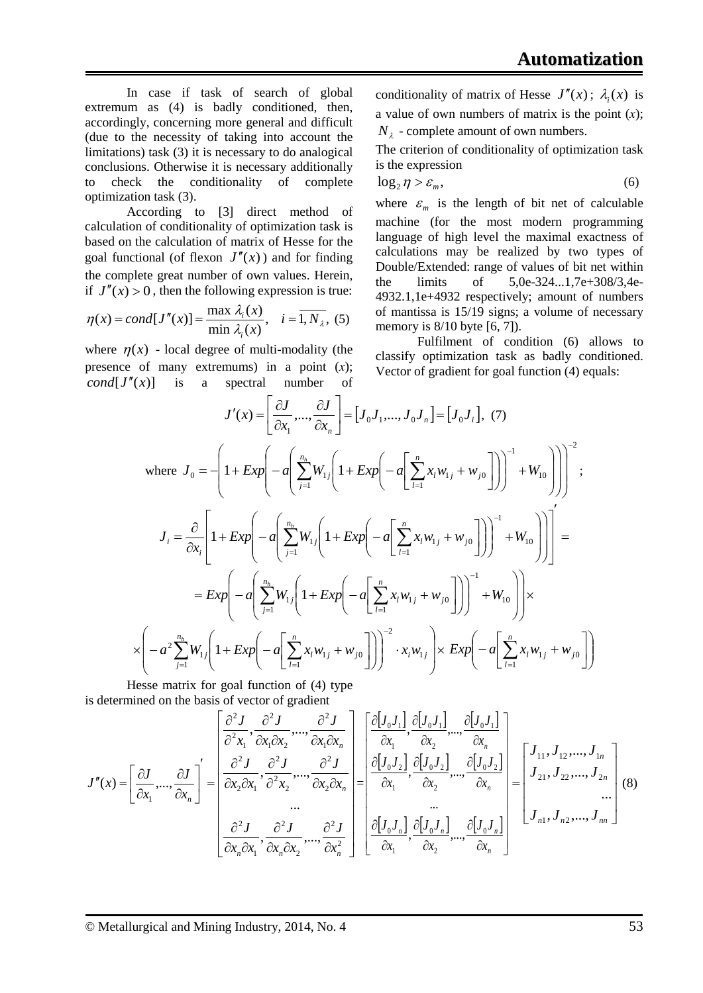In case if task of search of global extremum as (4) is badly conditioned, then, accordingly, concerning more general and difficult (due to the necessity of taking into account the limitations) task (3) it is necessary to do analogical conclusions. Otherwise it is necessary additionally to check the conditionality of complete optimization task (3).

According to [3] direct method of calculation of conditionality of optimization task is based on the calculation of matrix of Hesse for the goal functional (of flexon  $J''(x)$ ) and for finding the complete great number of own values. Herein, if  $J''(x) > 0$ , then the following expression is true:

$$
\eta(x) = cond[J''(x)] = \frac{\max \lambda_i(x)}{\min \lambda_i(x)}, \quad i = \overline{1, N_\lambda}, \tag{5}
$$

where  $\eta(x)$  - local degree of multi-modality (the presence of many extremums) in a point (*х*); *cond*[ $J''(x)$ ] is a spectral number of conditionality of matrix of Hesse  $J''(x)$ ;  $\lambda_i(x)$  is a value of own numbers of matrix is the point (*х*);  $N_{\lambda}$  - complete amount of own numbers.

The criterion of conditionality of optimization task is the expression

$$
\log_2 \eta > \varepsilon_m,\tag{6}
$$

where  $\varepsilon_m$  is the length of bit net of calculable machine (for the most modern programming language of high level the maximal exactness of calculations may be realized by two types of Double/Extended: range of values of bit net within the limits of 5,0e-324...1,7e+308/3,4e-4932.1,1e+4932 respectively; amount of numbers of mantissa is 15/19 signs; a volume of necessary memory is 8/10 byte [6, 7]).

Fulfilment of condition (6) allows to classify optimization task as badly conditioned. Vector of gradient for goal function (4) equals:

$$
J'(x) = \left[\frac{\partial J}{\partial x_1}, \dots, \frac{\partial J}{\partial x_n}\right] = [J_0 J_1, \dots, J_0 J_n] = [J_0 J_i], (7)
$$
  
\nwhere  $J_0 = -\left(1 + Exp\left(-a\left(\sum_{j=1}^{n_h} W_{1j}\left(1 + Exp\left(-a\left(\sum_{l=1}^n x_l w_{1j} + w_{j0}\right)\right)\right)^{-1} + W_{10}\right)\right)\right)^{-2}$   
\n
$$
J_i = \frac{\partial}{\partial x_i} \left[1 + Exp\left(-a\left(\sum_{j=1}^{n_h} W_{1j}\left(1 + Exp\left(-a\left(\sum_{l=1}^n x_l w_{1j} + w_{j0}\right)\right)\right)^{-1} + W_{10}\right)\right)\right] =
$$
  
\n
$$
= Exp\left(-a\left(\sum_{j=1}^{n_h} W_{1j}\left(1 + Exp\left(-a\left(\sum_{l=1}^n x_l w_{1j} + w_{j0}\right)\right)\right)^{-1} + W_{10}\right)\right) \times
$$
  
\n
$$
\times \left(-a^2 \sum_{j=1}^{n_h} W_{1j}\left(1 + Exp\left(-a\left(\sum_{l=1}^n x_l w_{1j} + w_{j0}\right)\right)\right)^{-2} \cdot x_i w_{1j}\right) \times Exp\left(-a\left(\sum_{l=1}^n x_l w_{1j} + w_{j0}\right)\right)
$$

Hesse matrix for goal function of (4) type is determined on the basis of vector of gradient

$$
J''(x) = \left[\frac{\partial J}{\partial x_1}, \dots, \frac{\partial J}{\partial x_n}\right]' = \left[\frac{\frac{\partial^2 J}{\partial x_1}, \frac{\partial^2 J}{\partial x_1 \partial x_2}, \dots, \frac{\partial^2 J}{\partial x_n \partial x_n}}{\frac{\partial^2 J}{\partial x_2 \partial x_1}, \frac{\partial^2 J}{\partial^2 x_2}, \dots, \frac{\partial^2 J}{\partial x_2 \partial x_n}}\right] = \left[\frac{\frac{\partial [J_0 J_1]}{\partial x_1}, \frac{\partial [J_0 J_1]}{\partial x_2}, \dots, \frac{\partial [J_0 J_1]}{\partial x_n}}{\frac{\partial [J_0 J_2]}{\partial x_1}, \frac{\partial [J_0 J_2]}{\partial x_2}, \dots, \frac{\partial [J_0 J_2]}{\partial x_n}}\right] = \left[\frac{J_{11}, J_{12}, \dots, J_{1n}}{J_{21}, J_{22}, \dots, J_{2n}}\right] \tag{8}
$$
  

$$
\frac{\partial^2 J}{\partial x_n \partial x_1}, \frac{\partial^2 J}{\partial x_n \partial x_2}, \dots, \frac{\partial^2 J}{\partial x_n^2}\right] = \left[\frac{\partial [J_0 J_1]}{\partial x_1}, \frac{\partial [J_0 J_1]}{\partial x_2}, \dots, \frac{\partial [J_0 J_n]}{\partial x_n}\right] = \left[\frac{J_{11}, J_{12}, \dots, J_{1n}}{J_{n1}, J_{n2}, \dots, J_{nn}}\right] \tag{8}
$$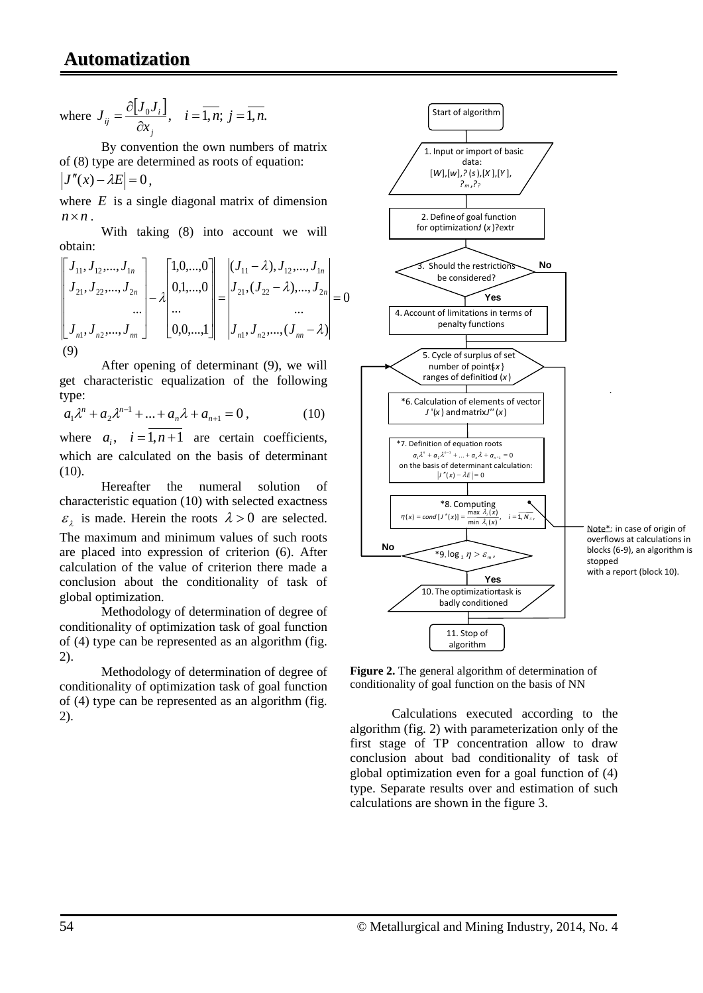where 
$$
J_{ij} = \frac{\partial [J_0 J_i]}{\partial x_j}
$$
,  $i = \overline{1, n}$ ;  $j = \overline{1, n}$ .

By convention the own numbers of matrix of (8) type are determined as roots of equation:  $|J''(x)-\lambda E|=0$ ,

where  $E$  is a single diagonal matrix of dimension  $n \times n$ 

With taking (8) into account we will obtain:

$$
\begin{bmatrix} J_{11}, J_{12},..., J_{1n} \\ J_{21}, J_{22},..., J_{2n} \\ ... \\ J_{n1}, J_{n2},..., J_{nn} \end{bmatrix} - \lambda \begin{bmatrix} 1, 0,..., 0 \\ 0, 1,..., 0 \\ ... \\ 0, 0,..., 1 \end{bmatrix} = \begin{bmatrix} (J_{11} - \lambda), J_{12},..., J_{1n} \\ J_{21}, (J_{22} - \lambda),..., J_{2n} \\ ... \\ J_{n1}, J_{n2},..., (J_{nn} - \lambda) \end{bmatrix} = 0
$$

After opening of determinant (9), we will get characteristic equalization of the following type:

$$
a_1 \lambda^n + a_2 \lambda^{n-1} + \dots + a_n \lambda + a_{n+1} = 0, \qquad (10)
$$

where  $a_i$ ,  $i = \overline{1, n+1}$  are certain coefficients, which are calculated on the basis of determinant (10).

Hereafter the numeral solution of characteristic equation (10) with selected exactness  $\varepsilon$ <sub>1</sub> is made. Herein the roots  $\lambda > 0$  are selected. The maximum and minimum values of such roots are placed into expression of criterion (6). After calculation of the value of criterion there made a conclusion about the conditionality of task of global optimization.

Methodology of determination of degree of conditionality of optimization task of goal function of (4) type can be represented as an algorithm (fig. 2).

Methodology of determination of degree of conditionality of optimization task of goal function of (4) type can be represented as an algorithm (fig. 2).



**Figure 2.** The general algorithm of determination of conditionality of goal function on the basis of NN

Calculations executed according to the algorithm (fig. 2) with parameterization only of the first stage of TP concentration allow to draw conclusion about bad conditionality of task of global optimization even for a goal function of (4) type. Separate results over and estimation of such calculations are shown in the figure 3.